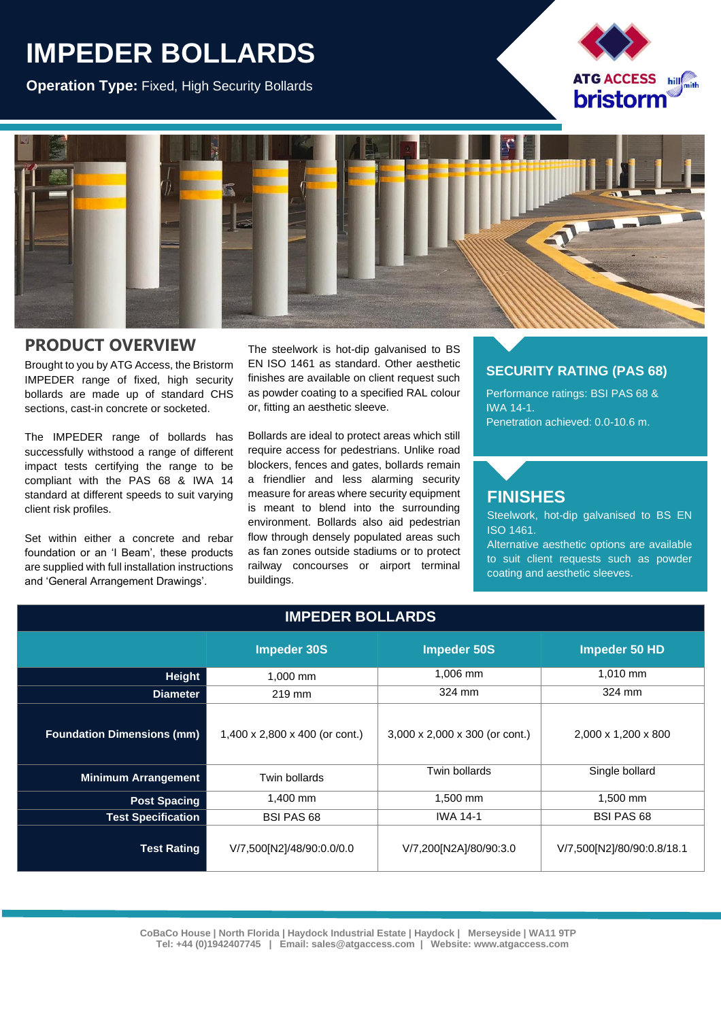## **IMPEDER BOLLARDS**

**Operation Type:** Fixed, High Security Bollards





## **PRODUCT OVERVIEW**

Brought to you by ATG Access, the Bristorm IMPEDER range of fixed, high security bollards are made up of standard CHS sections, cast-in concrete or socketed.

The IMPEDER range of bollards has successfully withstood a range of different impact tests certifying the range to be compliant with the PAS 68 & IWA 14 standard at different speeds to suit varying client risk profiles.

Set within either a concrete and rebar foundation or an 'I Beam', these products are supplied with full installation instructions and 'General Arrangement Drawings'.

The steelwork is hot-dip galvanised to BS EN ISO 1461 as standard. Other aesthetic finishes are available on client request such as powder coating to a specified RAL colour or, fitting an aesthetic sleeve.

Bollards are ideal to protect areas which still require access for pedestrians. Unlike road blockers, fences and gates, bollards remain a friendlier and less alarming security measure for areas where security equipment is meant to blend into the surrounding environment. Bollards also aid pedestrian flow through densely populated areas such as fan zones outside stadiums or to protect railway concourses or airport terminal buildings.

## **SECURITY RATING (PAS 68)**

Performance ratings: BSI PAS 68 & IWA 14-1. Penetration achieved: 0.0-10.6 m.

## **FINISHES**

Steelwork, hot-dip galvanised to BS EN ISO 1461.

Alternative aesthetic options are available to suit client requests such as powder coating and aesthetic sleeves.

| <b>IMPEDER BOLLARDS</b>           |                                |                                |                            |
|-----------------------------------|--------------------------------|--------------------------------|----------------------------|
|                                   | <b>Impeder 30S</b>             | <b>Impeder 50S</b>             | Impeder 50 HD              |
| Height                            | 1,000 mm                       | 1,006 mm                       | 1,010 mm                   |
| <b>Diameter</b>                   | 219 mm                         | 324 mm                         | 324 mm                     |
| <b>Foundation Dimensions (mm)</b> | 1,400 x 2,800 x 400 (or cont.) | 3,000 x 2,000 x 300 (or cont.) | 2,000 x 1,200 x 800        |
| <b>Minimum Arrangement</b>        | Twin bollards                  | Twin bollards                  | Single bollard             |
| <b>Post Spacing</b>               | 1,400 mm                       | 1,500 mm                       | 1,500 mm                   |
| <b>Test Specification</b>         | <b>BSI PAS 68</b>              | <b>IWA 14-1</b>                | <b>BSI PAS 68</b>          |
| <b>Test Rating</b>                | V/7,500[N2]/48/90:0.0/0.0      | V/7,200[N2A]/80/90:3.0         | V/7,500[N2]/80/90:0.8/18.1 |